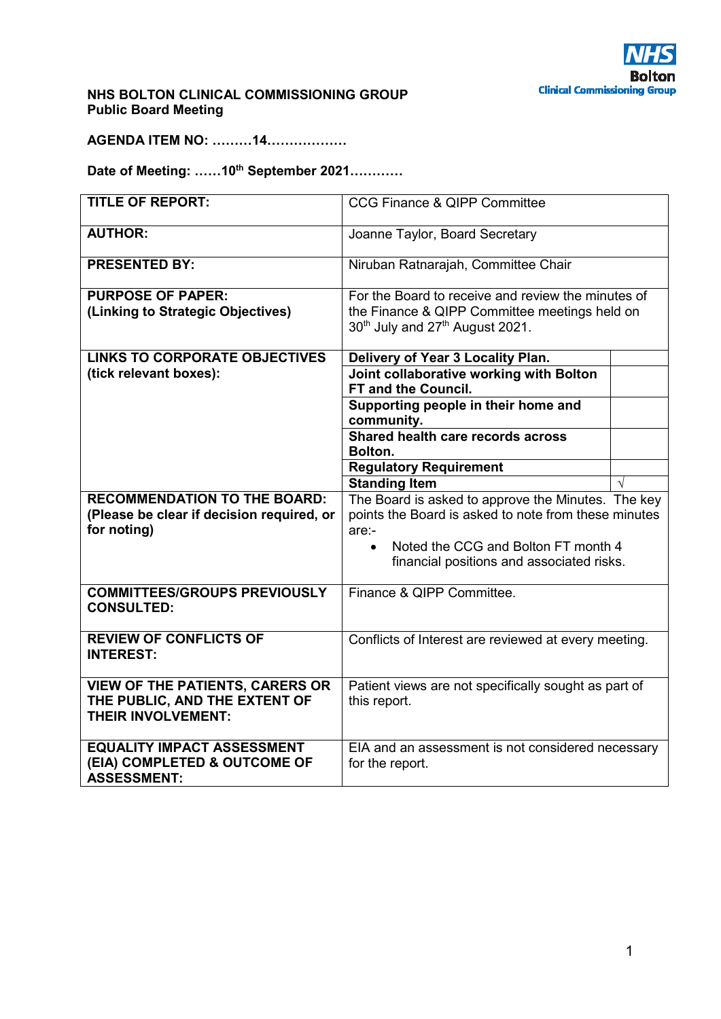

## **NHS BOLTON CLINICAL COMMISSIONING GROUP Public Board Meeting**

**AGENDA ITEM NO: ………14………………** 

**Date of Meeting: ……10th September 2021…………** 

| <b>TITLE OF REPORT:</b>                                  | <b>CCG Finance &amp; QIPP Committee</b>                 |  |
|----------------------------------------------------------|---------------------------------------------------------|--|
| <b>AUTHOR:</b>                                           | Joanne Taylor, Board Secretary                          |  |
| <b>PRESENTED BY:</b>                                     | Niruban Ratnarajah, Committee Chair                     |  |
| <b>PURPOSE OF PAPER:</b>                                 | For the Board to receive and review the minutes of      |  |
| (Linking to Strategic Objectives)                        | the Finance & QIPP Committee meetings held on           |  |
|                                                          | 30 <sup>th</sup> July and 27 <sup>th</sup> August 2021. |  |
|                                                          |                                                         |  |
| <b>LINKS TO CORPORATE OBJECTIVES</b>                     | Delivery of Year 3 Locality Plan.                       |  |
| (tick relevant boxes):                                   | Joint collaborative working with Bolton                 |  |
|                                                          | FT and the Council.                                     |  |
|                                                          | Supporting people in their home and                     |  |
|                                                          | community.                                              |  |
|                                                          | Shared health care records across                       |  |
|                                                          | Bolton.                                                 |  |
|                                                          | <b>Regulatory Requirement</b>                           |  |
|                                                          | <b>Standing Item</b>                                    |  |
| <b>RECOMMENDATION TO THE BOARD:</b>                      | The Board is asked to approve the Minutes. The key      |  |
| (Please be clear if decision required, or                | points the Board is asked to note from these minutes    |  |
| for noting)                                              | are:-                                                   |  |
|                                                          | Noted the CCG and Bolton FT month 4<br>$\bullet$        |  |
|                                                          | financial positions and associated risks.               |  |
|                                                          |                                                         |  |
| <b>COMMITTEES/GROUPS PREVIOUSLY</b><br><b>CONSULTED:</b> | Finance & QIPP Committee.                               |  |
| <b>REVIEW OF CONFLICTS OF</b>                            |                                                         |  |
| <b>INTEREST:</b>                                         | Conflicts of Interest are reviewed at every meeting.    |  |
|                                                          |                                                         |  |
| <b>VIEW OF THE PATIENTS, CARERS OR</b>                   | Patient views are not specifically sought as part of    |  |
| THE PUBLIC, AND THE EXTENT OF                            | this report.                                            |  |
| <b>THEIR INVOLVEMENT:</b>                                |                                                         |  |
|                                                          |                                                         |  |
| <b>EQUALITY IMPACT ASSESSMENT</b>                        | EIA and an assessment is not considered necessary       |  |
| (EIA) COMPLETED & OUTCOME OF                             | for the report.                                         |  |
| <b>ASSESSMENT:</b>                                       |                                                         |  |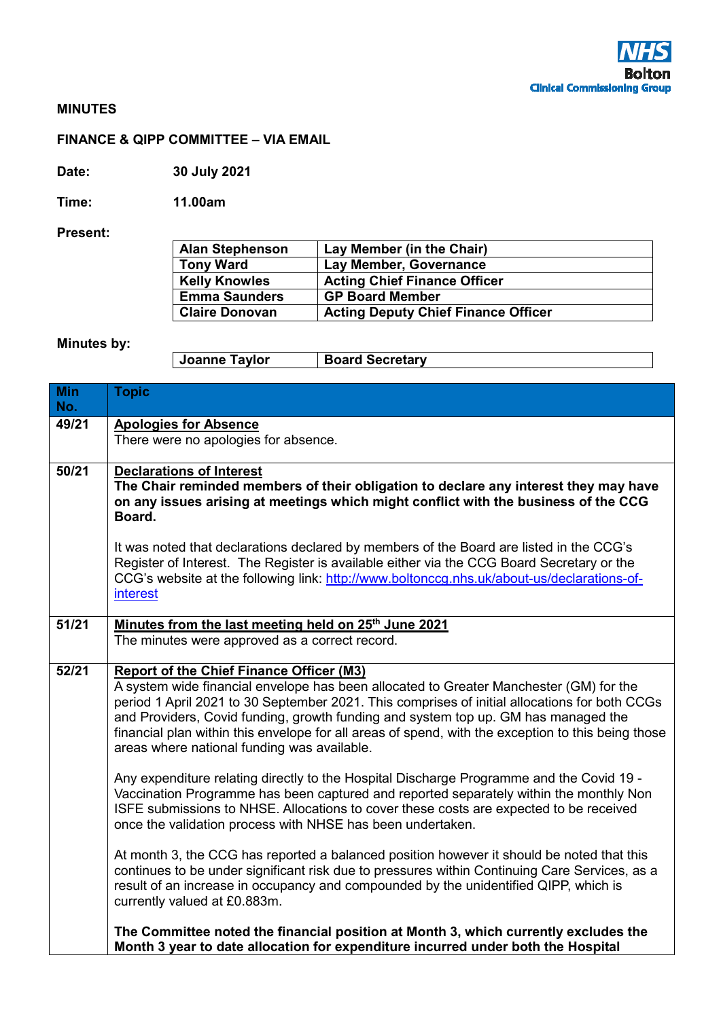

## **MINUTES**

## **FINANCE & QIPP COMMITTEE – VIA EMAIL**

**Date: 30 July 2021** 

**Time: 11.00am** 

**Present:** 

| <b>Alan Stephenson</b> | Lay Member (in the Chair)                  |
|------------------------|--------------------------------------------|
| <b>Tony Ward</b>       | Lay Member, Governance                     |
| <b>Kelly Knowles</b>   | <b>Acting Chief Finance Officer</b>        |
| <b>Emma Saunders</b>   | <b>GP Board Member</b>                     |
| <b>Claire Donovan</b>  | <b>Acting Deputy Chief Finance Officer</b> |
|                        |                                            |

# **Minutes by:**

| Joanne Taylor<br><b>Board Secretary</b> |  |
|-----------------------------------------|--|
|-----------------------------------------|--|

| <b>Min</b><br>No. | <b>Topic</b>                                                                                                                                                                                                                                                                                                                                                                                                                                                                                                   |
|-------------------|----------------------------------------------------------------------------------------------------------------------------------------------------------------------------------------------------------------------------------------------------------------------------------------------------------------------------------------------------------------------------------------------------------------------------------------------------------------------------------------------------------------|
| 49/21             | <b>Apologies for Absence</b><br>There were no apologies for absence.                                                                                                                                                                                                                                                                                                                                                                                                                                           |
| 50/21             | <b>Declarations of Interest</b><br>The Chair reminded members of their obligation to declare any interest they may have<br>on any issues arising at meetings which might conflict with the business of the CCG<br>Board.<br>It was noted that declarations declared by members of the Board are listed in the CCG's<br>Register of Interest. The Register is available either via the CCG Board Secretary or the<br>CCG's website at the following link: http://www.boltonccg.nhs.uk/about-us/declarations-of- |
|                   | interest                                                                                                                                                                                                                                                                                                                                                                                                                                                                                                       |
| 51/21             | Minutes from the last meeting held on 25 <sup>th</sup> June 2021<br>The minutes were approved as a correct record.                                                                                                                                                                                                                                                                                                                                                                                             |
| 52/21             | <b>Report of the Chief Finance Officer (M3)</b><br>A system wide financial envelope has been allocated to Greater Manchester (GM) for the<br>period 1 April 2021 to 30 September 2021. This comprises of initial allocations for both CCGs<br>and Providers, Covid funding, growth funding and system top up. GM has managed the<br>financial plan within this envelope for all areas of spend, with the exception to this being those<br>areas where national funding was available.                          |
|                   | Any expenditure relating directly to the Hospital Discharge Programme and the Covid 19 -<br>Vaccination Programme has been captured and reported separately within the monthly Non<br>ISFE submissions to NHSE. Allocations to cover these costs are expected to be received<br>once the validation process with NHSE has been undertaken.                                                                                                                                                                     |
|                   | At month 3, the CCG has reported a balanced position however it should be noted that this<br>continues to be under significant risk due to pressures within Continuing Care Services, as a<br>result of an increase in occupancy and compounded by the unidentified QIPP, which is<br>currently valued at £0.883m.                                                                                                                                                                                             |
|                   | The Committee noted the financial position at Month 3, which currently excludes the<br>Month 3 year to date allocation for expenditure incurred under both the Hospital                                                                                                                                                                                                                                                                                                                                        |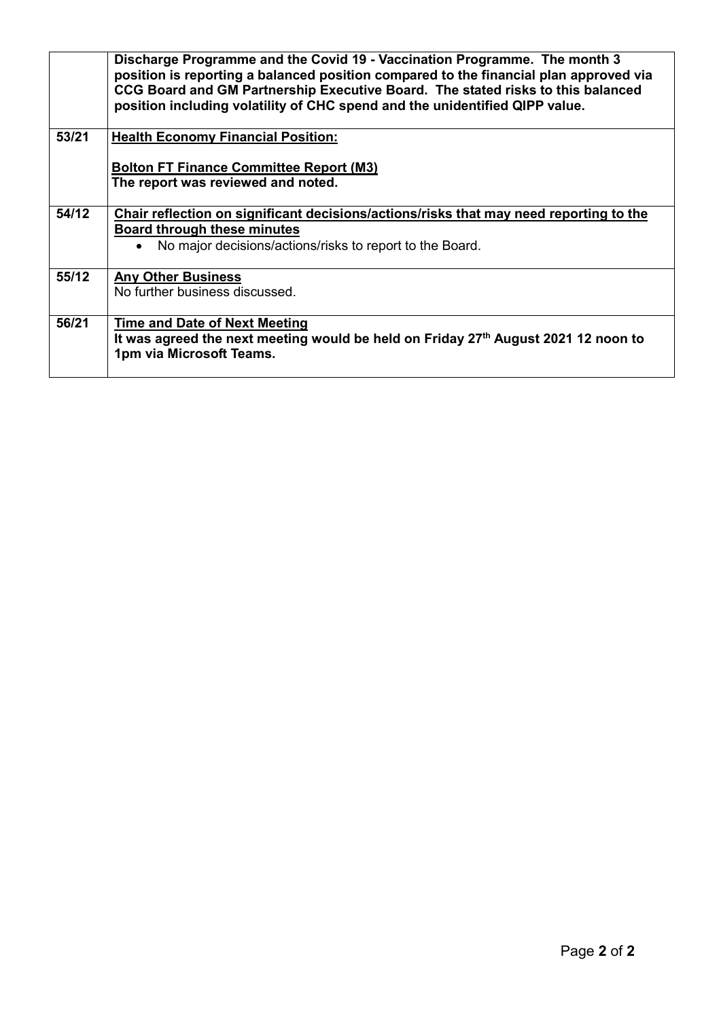|       | Discharge Programme and the Covid 19 - Vaccination Programme. The month 3<br>position is reporting a balanced position compared to the financial plan approved via<br>CCG Board and GM Partnership Executive Board. The stated risks to this balanced<br>position including volatility of CHC spend and the unidentified QIPP value. |
|-------|--------------------------------------------------------------------------------------------------------------------------------------------------------------------------------------------------------------------------------------------------------------------------------------------------------------------------------------|
| 53/21 | <b>Health Economy Financial Position:</b>                                                                                                                                                                                                                                                                                            |
|       | <b>Bolton FT Finance Committee Report (M3)</b><br>The report was reviewed and noted.                                                                                                                                                                                                                                                 |
| 54/12 | Chair reflection on significant decisions/actions/risks that may need reporting to the                                                                                                                                                                                                                                               |
|       | <b>Board through these minutes</b>                                                                                                                                                                                                                                                                                                   |
|       | No major decisions/actions/risks to report to the Board.                                                                                                                                                                                                                                                                             |
| 55/12 | <b>Any Other Business</b>                                                                                                                                                                                                                                                                                                            |
|       | No further business discussed.                                                                                                                                                                                                                                                                                                       |
| 56/21 | Time and Date of Next Meeting                                                                                                                                                                                                                                                                                                        |
|       | It was agreed the next meeting would be held on Friday 27 <sup>th</sup> August 2021 12 noon to                                                                                                                                                                                                                                       |
|       | 1pm via Microsoft Teams.                                                                                                                                                                                                                                                                                                             |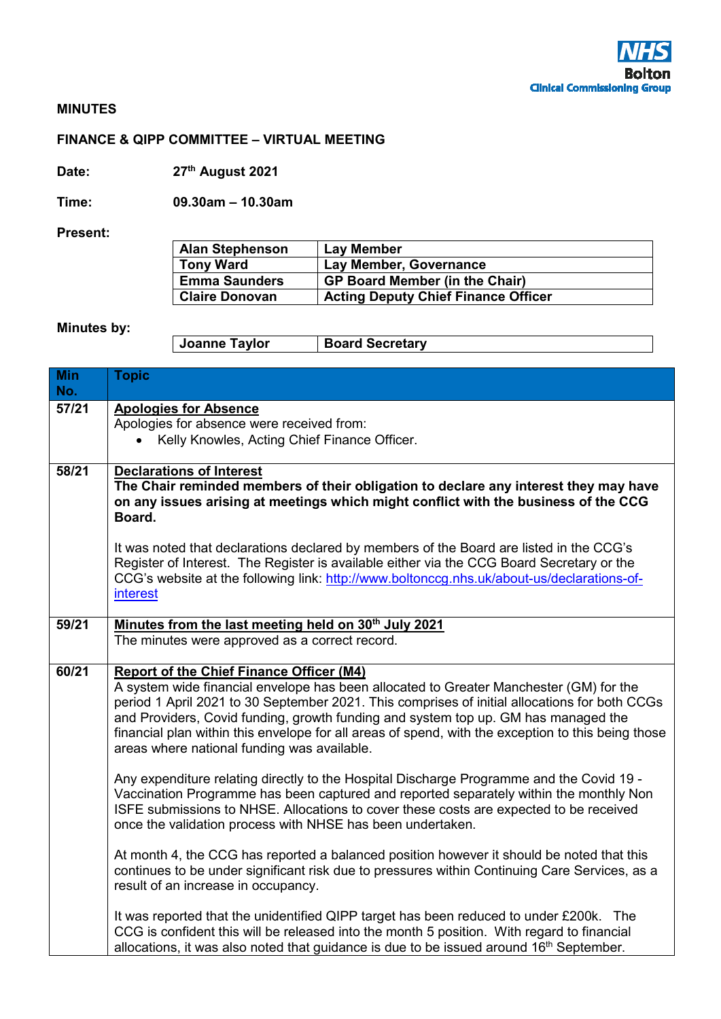

#### **MINUTES**

# **FINANCE & QIPP COMMITTEE – VIRTUAL MEETING**

**Date: 27th August 2021** 

**Time: 09.30am – 10.30am** 

**Present:** 

| <b>Alan Stephenson</b> | <b>Lay Member</b>                          |
|------------------------|--------------------------------------------|
| <b>Tony Ward</b>       | Lay Member, Governance                     |
| <b>Emma Saunders</b>   | <b>GP Board Member (in the Chair)</b>      |
| <b>Claire Donovan</b>  | <b>Acting Deputy Chief Finance Officer</b> |

## **Minutes by:**

| Joanne Taylor | <b>Board Secretary</b> |
|---------------|------------------------|
|---------------|------------------------|

| <b>Min</b><br>No. | <b>Topic</b>                                                                                                                                                                                                                                                                                                                                                                                                                                                                          |
|-------------------|---------------------------------------------------------------------------------------------------------------------------------------------------------------------------------------------------------------------------------------------------------------------------------------------------------------------------------------------------------------------------------------------------------------------------------------------------------------------------------------|
| 57/21             | <b>Apologies for Absence</b><br>Apologies for absence were received from:<br>Kelly Knowles, Acting Chief Finance Officer.                                                                                                                                                                                                                                                                                                                                                             |
| 58/21             | <b>Declarations of Interest</b><br>The Chair reminded members of their obligation to declare any interest they may have<br>on any issues arising at meetings which might conflict with the business of the CCG<br>Board.                                                                                                                                                                                                                                                              |
|                   | It was noted that declarations declared by members of the Board are listed in the CCG's<br>Register of Interest. The Register is available either via the CCG Board Secretary or the<br>CCG's website at the following link: http://www.boltonccg.nhs.uk/about-us/declarations-of-<br>interest                                                                                                                                                                                        |
| 59/21             | Minutes from the last meeting held on 30 <sup>th</sup> July 2021<br>The minutes were approved as a correct record.                                                                                                                                                                                                                                                                                                                                                                    |
| 60/21             | <b>Report of the Chief Finance Officer (M4)</b><br>A system wide financial envelope has been allocated to Greater Manchester (GM) for the<br>period 1 April 2021 to 30 September 2021. This comprises of initial allocations for both CCGs<br>and Providers, Covid funding, growth funding and system top up. GM has managed the<br>financial plan within this envelope for all areas of spend, with the exception to this being those<br>areas where national funding was available. |
|                   | Any expenditure relating directly to the Hospital Discharge Programme and the Covid 19 -<br>Vaccination Programme has been captured and reported separately within the monthly Non<br>ISFE submissions to NHSE. Allocations to cover these costs are expected to be received<br>once the validation process with NHSE has been undertaken.                                                                                                                                            |
|                   | At month 4, the CCG has reported a balanced position however it should be noted that this<br>continues to be under significant risk due to pressures within Continuing Care Services, as a<br>result of an increase in occupancy.                                                                                                                                                                                                                                                     |
|                   | It was reported that the unidentified QIPP target has been reduced to under £200k. The<br>CCG is confident this will be released into the month 5 position. With regard to financial<br>allocations, it was also noted that guidance is due to be issued around 16 <sup>th</sup> September.                                                                                                                                                                                           |